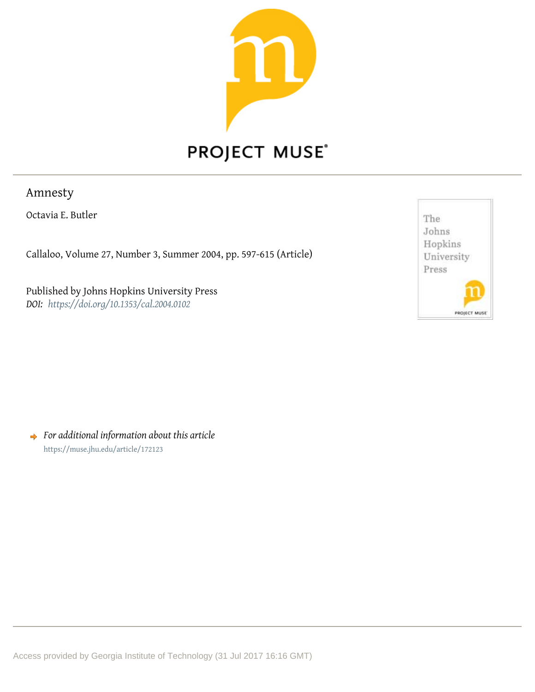

# **PROJECT MUSE®**

Amnesty

Octavia E. Butler

Callaloo, Volume 27, Number 3, Summer 2004, pp. 597-615 (Article)

Published by Johns Hopkins University Press *DOI: <https://doi.org/10.1353/cal.2004.0102>*



*For additional information about this article* <https://muse.jhu.edu/article/172123>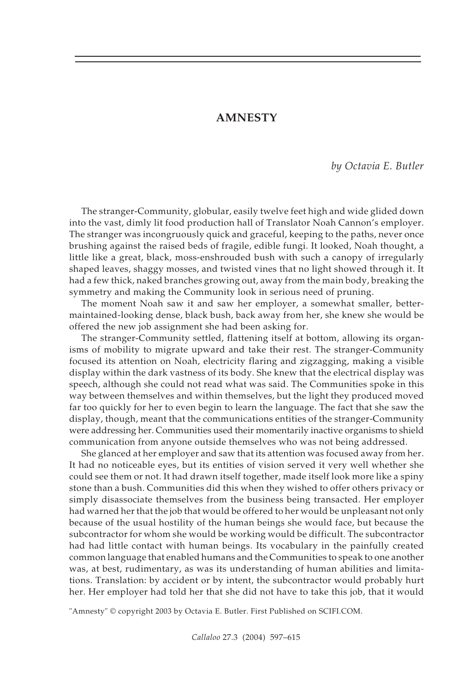# **AMNESTY**

**C A L L A L O O**

#### *by Octavia E. Butler*

The stranger-Community, globular, easily twelve feet high and wide glided down into the vast, dimly lit food production hall of Translator Noah Cannon's employer. The stranger was incongruously quick and graceful, keeping to the paths, never once brushing against the raised beds of fragile, edible fungi. It looked, Noah thought, a little like a great, black, moss-enshrouded bush with such a canopy of irregularly shaped leaves, shaggy mosses, and twisted vines that no light showed through it. It had a few thick, naked branches growing out, away from the main body, breaking the symmetry and making the Community look in serious need of pruning.

The moment Noah saw it and saw her employer, a somewhat smaller, bettermaintained-looking dense, black bush, back away from her, she knew she would be offered the new job assignment she had been asking for.

The stranger-Community settled, flattening itself at bottom, allowing its organisms of mobility to migrate upward and take their rest. The stranger-Community focused its attention on Noah, electricity flaring and zigzagging, making a visible display within the dark vastness of its body. She knew that the electrical display was speech, although she could not read what was said. The Communities spoke in this way between themselves and within themselves, but the light they produced moved far too quickly for her to even begin to learn the language. The fact that she saw the display, though, meant that the communications entities of the stranger-Community were addressing her. Communities used their momentarily inactive organisms to shield communication from anyone outside themselves who was not being addressed.

She glanced at her employer and saw that its attention was focused away from her. It had no noticeable eyes, but its entities of vision served it very well whether she could see them or not. It had drawn itself together, made itself look more like a spiny stone than a bush. Communities did this when they wished to offer others privacy or simply disassociate themselves from the business being transacted. Her employer had warned her that the job that would be offered to her would be unpleasant not only because of the usual hostility of the human beings she would face, but because the subcontractor for whom she would be working would be difficult. The subcontractor had had little contact with human beings. Its vocabulary in the painfully created common language that enabled humans and the Communities to speak to one another was, at best, rudimentary, as was its understanding of human abilities and limitations. Translation: by accident or by intent, the subcontractor would probably hurt her. Her employer had told her that she did not have to take this job, that it would

"Amnesty" © copyright 2003 by Octavia E. Butler. First Published on SCIFI.COM.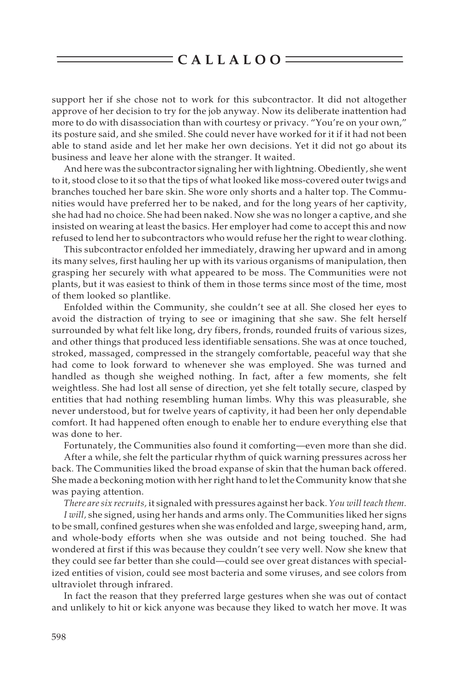support her if she chose not to work for this subcontractor. It did not altogether approve of her decision to try for the job anyway. Now its deliberate inattention had more to do with disassociation than with courtesy or privacy. "You're on your own," its posture said, and she smiled. She could never have worked for it if it had not been able to stand aside and let her make her own decisions. Yet it did not go about its business and leave her alone with the stranger. It waited.

And here was the subcontractor signaling her with lightning. Obediently, she went to it, stood close to it so that the tips of what looked like moss-covered outer twigs and branches touched her bare skin. She wore only shorts and a halter top. The Communities would have preferred her to be naked, and for the long years of her captivity, she had had no choice. She had been naked. Now she was no longer a captive, and she insisted on wearing at least the basics. Her employer had come to accept this and now refused to lend her to subcontractors who would refuse her the right to wear clothing.

This subcontractor enfolded her immediately, drawing her upward and in among its many selves, first hauling her up with its various organisms of manipulation, then grasping her securely with what appeared to be moss. The Communities were not plants, but it was easiest to think of them in those terms since most of the time, most of them looked so plantlike.

Enfolded within the Community, she couldn't see at all. She closed her eyes to avoid the distraction of trying to see or imagining that she saw. She felt herself surrounded by what felt like long, dry fibers, fronds, rounded fruits of various sizes, and other things that produced less identifiable sensations. She was at once touched, stroked, massaged, compressed in the strangely comfortable, peaceful way that she had come to look forward to whenever she was employed. She was turned and handled as though she weighed nothing. In fact, after a few moments, she felt weightless. She had lost all sense of direction, yet she felt totally secure, clasped by entities that had nothing resembling human limbs. Why this was pleasurable, she never understood, but for twelve years of captivity, it had been her only dependable comfort. It had happened often enough to enable her to endure everything else that was done to her.

Fortunately, the Communities also found it comforting—even more than she did.

After a while, she felt the particular rhythm of quick warning pressures across her back. The Communities liked the broad expanse of skin that the human back offered. She made a beckoning motion with her right hand to let the Community know that she was paying attention.

*There are six recruits,* it signaled with pressures against her back. *You will teach them.*

*I will,* she signed, using her hands and arms only. The Communities liked her signs to be small, confined gestures when she was enfolded and large, sweeping hand, arm, and whole-body efforts when she was outside and not being touched. She had wondered at first if this was because they couldn't see very well. Now she knew that they could see far better than she could—could see over great distances with specialized entities of vision, could see most bacteria and some viruses, and see colors from ultraviolet through infrared.

In fact the reason that they preferred large gestures when she was out of contact and unlikely to hit or kick anyone was because they liked to watch her move. It was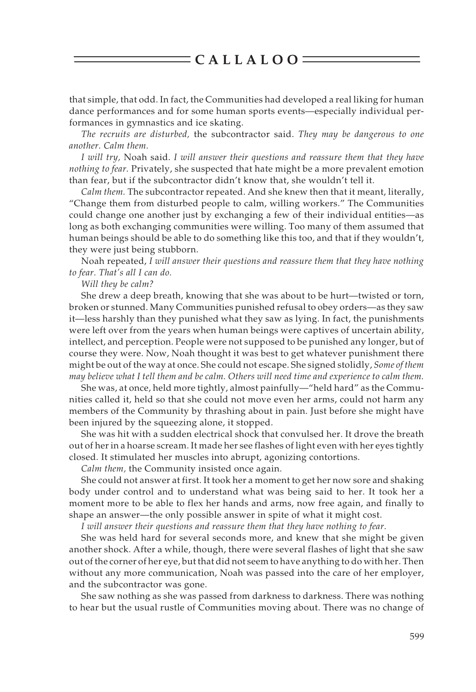that simple, that odd. In fact, the Communities had developed a real liking for human dance performances and for some human sports events—especially individual performances in gymnastics and ice skating.

*The recruits are disturbed,* the subcontractor said. *They may be dangerous to one another. Calm them.*

*I will try,* Noah said. *I will answer their questions and reassure them that they have nothing to fear.* Privately, she suspected that hate might be a more prevalent emotion than fear, but if the subcontractor didn't know that, she wouldn't tell it.

*Calm them.* The subcontractor repeated. And she knew then that it meant, literally, "Change them from disturbed people to calm, willing workers." The Communities could change one another just by exchanging a few of their individual entities—as long as both exchanging communities were willing. Too many of them assumed that human beings should be able to do something like this too, and that if they wouldn't, they were just being stubborn.

Noah repeated, *I will answer their questions and reassure them that they have nothing to fear. That's all I can do.*

*Will they be calm?*

She drew a deep breath, knowing that she was about to be hurt—twisted or torn, broken or stunned. Many Communities punished refusal to obey orders—as they saw it—less harshly than they punished what they saw as lying. In fact, the punishments were left over from the years when human beings were captives of uncertain ability, intellect, and perception. People were not supposed to be punished any longer, but of course they were. Now, Noah thought it was best to get whatever punishment there might be out of the way at once. She could not escape. She signed stolidly, *Some of them may believe what I tell them and be calm. Others will need time and experience to calm them.*

She was, at once, held more tightly, almost painfully—"held hard" as the Communities called it, held so that she could not move even her arms, could not harm any members of the Community by thrashing about in pain. Just before she might have been injured by the squeezing alone, it stopped.

She was hit with a sudden electrical shock that convulsed her. It drove the breath out of her in a hoarse scream. It made her see flashes of light even with her eyes tightly closed. It stimulated her muscles into abrupt, agonizing contortions.

*Calm them,* the Community insisted once again.

She could not answer at first. It took her a moment to get her now sore and shaking body under control and to understand what was being said to her. It took her a moment more to be able to flex her hands and arms, now free again, and finally to shape an answer—the only possible answer in spite of what it might cost.

*I will answer their questions and reassure them that they have nothing to fear.*

She was held hard for several seconds more, and knew that she might be given another shock. After a while, though, there were several flashes of light that she saw out of the corner of her eye, but that did not seem to have anything to do with her. Then without any more communication, Noah was passed into the care of her employer, and the subcontractor was gone.

She saw nothing as she was passed from darkness to darkness. There was nothing to hear but the usual rustle of Communities moving about. There was no change of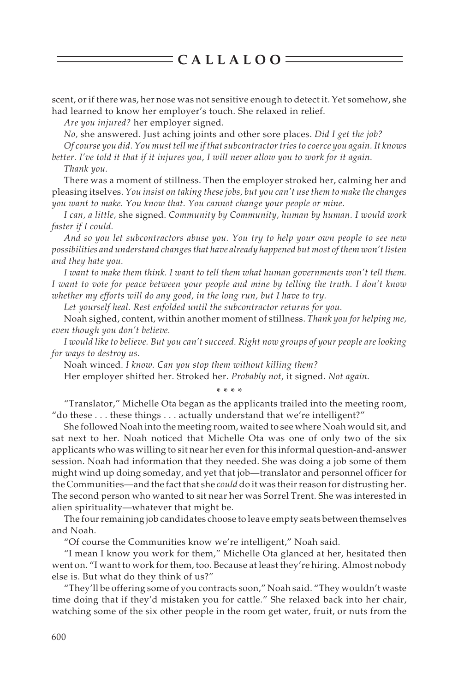scent, or if there was, her nose was not sensitive enough to detect it. Yet somehow, she had learned to know her employer's touch. She relaxed in relief.

*Are you injured?* her employer signed.

*No,* she answered. Just aching joints and other sore places. *Did I get the job?*

*Of course you did. You must tell me if that subcontractor tries to coerce you again. It knows better. I've told it that if it injures you, I will never allow you to work for it again.*

*Thank you.*

There was a moment of stillness. Then the employer stroked her, calming her and pleasing itselves. *You insist on taking these jobs, but you can't use them to make the changes you want to make. You know that. You cannot change your people or mine.*

*I can, a little,* she signed. *Community by Community, human by human. I would work faster if I could.*

*And so you let subcontractors abuse you. You try to help your own people to see new possibilities and understand changes that have already happened but most of them won't listen and they hate you.*

*I want to make them think. I want to tell them what human governments won't tell them. I want to vote for peace between your people and mine by telling the truth. I don't know whether my efforts will do any good, in the long run, but I have to try.*

*Let yourself heal. Rest enfolded until the subcontractor returns for you.*

Noah sighed, content, within another moment of stillness. *Thank you for helping me, even though you don't believe.*

*I would like to believe. But you can't succeed. Right now groups of your people are looking for ways to destroy us.*

Noah winced. *I know. Can you stop them without killing them?*

Her employer shifted her. Stroked her. *Probably not,* it signed. *Not again.*

**\* \* \* \***

"Translator," Michelle Ota began as the applicants trailed into the meeting room, "do these . . . these things . . . actually understand that we're intelligent?"

She followed Noah into the meeting room, waited to see where Noah would sit, and sat next to her. Noah noticed that Michelle Ota was one of only two of the six applicants who was willing to sit near her even for this informal question-and-answer session. Noah had information that they needed. She was doing a job some of them might wind up doing someday, and yet that job—translator and personnel officer for the Communities—and the fact that she *could* do it was their reason for distrusting her. The second person who wanted to sit near her was Sorrel Trent. She was interested in alien spirituality—whatever that might be.

The four remaining job candidates choose to leave empty seats between themselves and Noah.

"Of course the Communities know we're intelligent," Noah said.

"I mean I know you work for them," Michelle Ota glanced at her, hesitated then went on. "I want to work for them, too. Because at least they're hiring. Almost nobody else is. But what do they think of us?"

"They'll be offering some of you contracts soon," Noah said. "They wouldn't waste time doing that if they'd mistaken you for cattle." She relaxed back into her chair, watching some of the six other people in the room get water, fruit, or nuts from the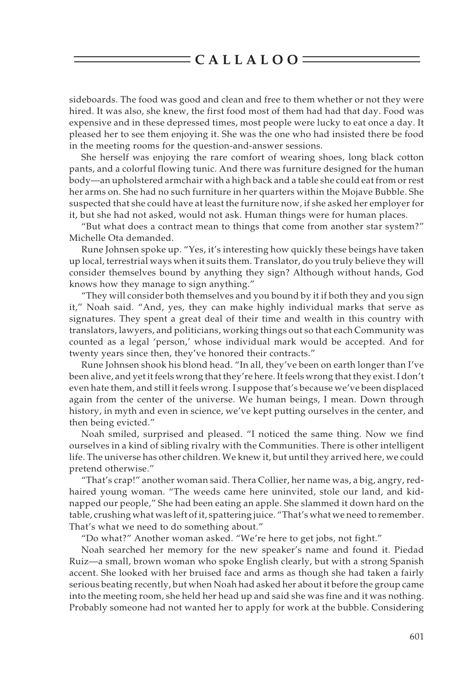sideboards. The food was good and clean and free to them whether or not they were hired. It was also, she knew, the first food most of them had had that day. Food was expensive and in these depressed times, most people were lucky to eat once a day. It pleased her to see them enjoying it. She was the one who had insisted there be food in the meeting rooms for the question-and-answer sessions.

She herself was enjoying the rare comfort of wearing shoes, long black cotton pants, and a colorful flowing tunic. And there was furniture designed for the human body—an upholstered armchair with a high back and a table she could eat from or rest her arms on. She had no such furniture in her quarters within the Mojave Bubble. She suspected that she could have at least the furniture now, if she asked her employer for it, but she had not asked, would not ask. Human things were for human places.

"But what does a contract mean to things that come from another star system?" Michelle Ota demanded.

Rune Johnsen spoke up. "Yes, it's interesting how quickly these beings have taken up local, terrestrial ways when it suits them. Translator, do you truly believe they will consider themselves bound by anything they sign? Although without hands, God knows how they manage to sign anything."

"They will consider both themselves and you bound by it if both they and you sign it," Noah said. "And, yes, they can make highly individual marks that serve as signatures. They spent a great deal of their time and wealth in this country with translators, lawyers, and politicians, working things out so that each Community was counted as a legal 'person,' whose individual mark would be accepted. And for twenty years since then, they've honored their contracts."

Rune Johnsen shook his blond head. "In all, they've been on earth longer than I've been alive, and yet it feels wrong that they're here. It feels wrong that they exist. I don't even hate them, and still it feels wrong. I suppose that's because we've been displaced again from the center of the universe. We human beings, I mean. Down through history, in myth and even in science, we've kept putting ourselves in the center, and then being evicted."

Noah smiled, surprised and pleased. "I noticed the same thing. Now we find ourselves in a kind of sibling rivalry with the Communities. There is other intelligent life. The universe has other children. We knew it, but until they arrived here, we could pretend otherwise."

"That's crap!" another woman said. Thera Collier, her name was, a big, angry, redhaired young woman. "The weeds came here uninvited, stole our land, and kidnapped our people," She had been eating an apple. She slammed it down hard on the table, crushing what was left of it, spattering juice. "That's what we need to remember. That's what we need to do something about."

"Do what?" Another woman asked. "We're here to get jobs, not fight."

Noah searched her memory for the new speaker's name and found it. Piedad Ruiz—a small, brown woman who spoke English clearly, but with a strong Spanish accent. She looked with her bruised face and arms as though she had taken a fairly serious beating recently, but when Noah had asked her about it before the group came into the meeting room, she held her head up and said she was fine and it was nothing. Probably someone had not wanted her to apply for work at the bubble. Considering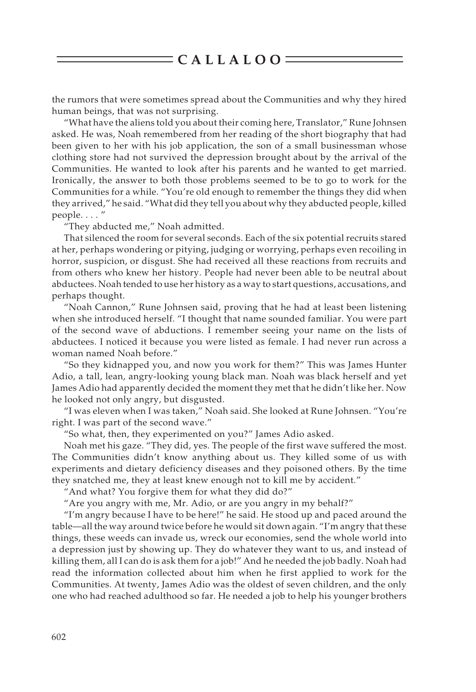the rumors that were sometimes spread about the Communities and why they hired human beings, that was not surprising.

"What have the aliens told you about their coming here, Translator," Rune Johnsen asked. He was, Noah remembered from her reading of the short biography that had been given to her with his job application, the son of a small businessman whose clothing store had not survived the depression brought about by the arrival of the Communities. He wanted to look after his parents and he wanted to get married. Ironically, the answer to both those problems seemed to be to go to work for the Communities for a while. "You're old enough to remember the things they did when they arrived," he said. "What did they tell you about why they abducted people, killed people. . . . "

"They abducted me," Noah admitted.

That silenced the room for several seconds. Each of the six potential recruits stared at her, perhaps wondering or pitying, judging or worrying, perhaps even recoiling in horror, suspicion, or disgust. She had received all these reactions from recruits and from others who knew her history. People had never been able to be neutral about abductees. Noah tended to use her history as a way to start questions, accusations, and perhaps thought.

"Noah Cannon," Rune Johnsen said, proving that he had at least been listening when she introduced herself. "I thought that name sounded familiar. You were part of the second wave of abductions. I remember seeing your name on the lists of abductees. I noticed it because you were listed as female. I had never run across a woman named Noah before."

"So they kidnapped you, and now you work for them?" This was James Hunter Adio, a tall, lean, angry-looking young black man. Noah was black herself and yet James Adio had apparently decided the moment they met that he didn't like her. Now he looked not only angry, but disgusted.

"I was eleven when I was taken," Noah said. She looked at Rune Johnsen. "You're right. I was part of the second wave."

"So what, then, they experimented on you?" James Adio asked.

Noah met his gaze. "They did, yes. The people of the first wave suffered the most. The Communities didn't know anything about us. They killed some of us with experiments and dietary deficiency diseases and they poisoned others. By the time they snatched me, they at least knew enough not to kill me by accident."

"And what? You forgive them for what they did do?"

"Are you angry with me, Mr. Adio, or are you angry in my behalf?"

"I'm angry because I have to be here!" he said. He stood up and paced around the table—all the way around twice before he would sit down again. "I'm angry that these things, these weeds can invade us, wreck our economies, send the whole world into a depression just by showing up. They do whatever they want to us, and instead of killing them, all I can do is ask them for a job!" And he needed the job badly. Noah had read the information collected about him when he first applied to work for the Communities. At twenty, James Adio was the oldest of seven children, and the only one who had reached adulthood so far. He needed a job to help his younger brothers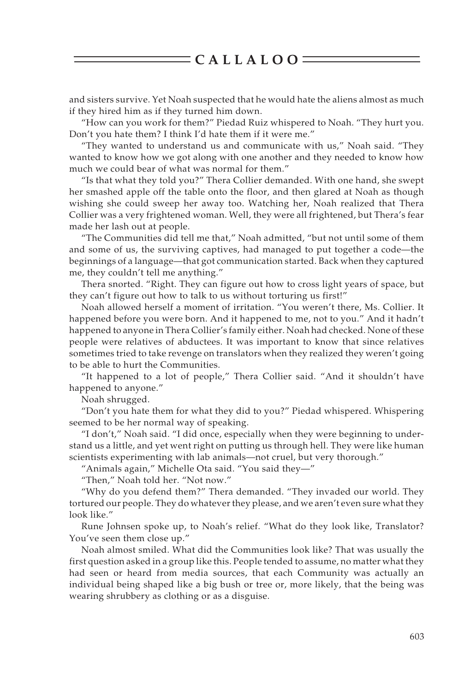and sisters survive. Yet Noah suspected that he would hate the aliens almost as much if they hired him as if they turned him down.

"How can you work for them?" Piedad Ruiz whispered to Noah. "They hurt you. Don't you hate them? I think I'd hate them if it were me."

"They wanted to understand us and communicate with us," Noah said. "They wanted to know how we got along with one another and they needed to know how much we could bear of what was normal for them."

"Is that what they told you?" Thera Collier demanded. With one hand, she swept her smashed apple off the table onto the floor, and then glared at Noah as though wishing she could sweep her away too. Watching her, Noah realized that Thera Collier was a very frightened woman. Well, they were all frightened, but Thera's fear made her lash out at people.

"The Communities did tell me that," Noah admitted, "but not until some of them and some of us, the surviving captives, had managed to put together a code—the beginnings of a language—that got communication started. Back when they captured me, they couldn't tell me anything."

Thera snorted. "Right. They can figure out how to cross light years of space, but they can't figure out how to talk to us without torturing us first!"

Noah allowed herself a moment of irritation. "You weren't there, Ms. Collier. It happened before you were born. And it happened to me, not to you." And it hadn't happened to anyone in Thera Collier's family either. Noah had checked. None of these people were relatives of abductees. It was important to know that since relatives sometimes tried to take revenge on translators when they realized they weren't going to be able to hurt the Communities.

"It happened to a lot of people," Thera Collier said. "And it shouldn't have happened to anyone."

Noah shrugged.

"Don't you hate them for what they did to you?" Piedad whispered. Whispering seemed to be her normal way of speaking.

"I don't," Noah said. "I did once, especially when they were beginning to understand us a little, and yet went right on putting us through hell. They were like human scientists experimenting with lab animals—not cruel, but very thorough."

"Animals again," Michelle Ota said. "You said they—"

"Then," Noah told her. "Not now."

"Why do you defend them?" Thera demanded. "They invaded our world. They tortured our people. They do whatever they please, and we aren't even sure what they look like."

Rune Johnsen spoke up, to Noah's relief. "What do they look like, Translator? You've seen them close up."

Noah almost smiled. What did the Communities look like? That was usually the first question asked in a group like this. People tended to assume, no matter what they had seen or heard from media sources, that each Community was actually an individual being shaped like a big bush or tree or, more likely, that the being was wearing shrubbery as clothing or as a disguise.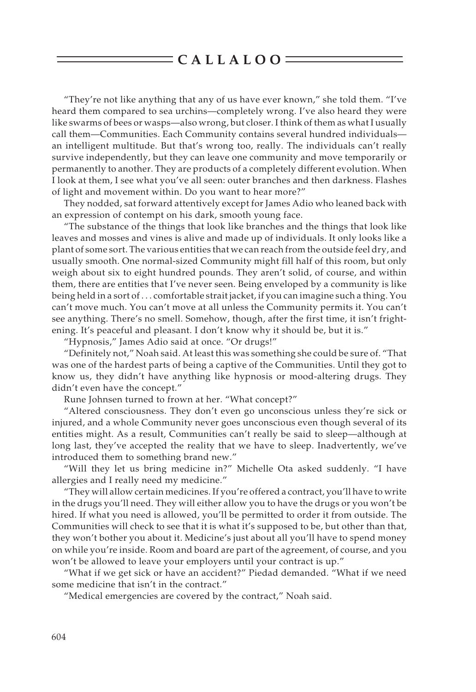"They're not like anything that any of us have ever known," she told them. "I've heard them compared to sea urchins—completely wrong. I've also heard they were like swarms of bees or wasps—also wrong, but closer. I think of them as what I usually call them—Communities. Each Community contains several hundred individuals an intelligent multitude. But that's wrong too, really. The individuals can't really survive independently, but they can leave one community and move temporarily or permanently to another. They are products of a completely different evolution. When I look at them, I see what you've all seen: outer branches and then darkness. Flashes of light and movement within. Do you want to hear more?"

They nodded, sat forward attentively except for James Adio who leaned back with an expression of contempt on his dark, smooth young face.

"The substance of the things that look like branches and the things that look like leaves and mosses and vines is alive and made up of individuals. It only looks like a plant of some sort. The various entities that we can reach from the outside feel dry, and usually smooth. One normal-sized Community might fill half of this room, but only weigh about six to eight hundred pounds. They aren't solid, of course, and within them, there are entities that I've never seen. Being enveloped by a community is like being held in a sort of . . . comfortable strait jacket, if you can imagine such a thing. You can't move much. You can't move at all unless the Community permits it. You can't see anything. There's no smell. Somehow, though, after the first time, it isn't frightening. It's peaceful and pleasant. I don't know why it should be, but it is."

"Hypnosis," James Adio said at once. "Or drugs!"

"Definitely not," Noah said. At least this was something she could be sure of. "That was one of the hardest parts of being a captive of the Communities. Until they got to know us, they didn't have anything like hypnosis or mood-altering drugs. They didn't even have the concept."

Rune Johnsen turned to frown at her. "What concept?"

"Altered consciousness. They don't even go unconscious unless they're sick or injured, and a whole Community never goes unconscious even though several of its entities might. As a result, Communities can't really be said to sleep—although at long last, they've accepted the reality that we have to sleep. Inadvertently, we've introduced them to something brand new."

"Will they let us bring medicine in?" Michelle Ota asked suddenly. "I have allergies and I really need my medicine."

"They will allow certain medicines. If you're offered a contract, you'll have to write in the drugs you'll need. They will either allow you to have the drugs or you won't be hired. If what you need is allowed, you'll be permitted to order it from outside. The Communities will check to see that it is what it's supposed to be, but other than that, they won't bother you about it. Medicine's just about all you'll have to spend money on while you're inside. Room and board are part of the agreement, of course, and you won't be allowed to leave your employers until your contract is up."

"What if we get sick or have an accident?" Piedad demanded. "What if we need some medicine that isn't in the contract."

"Medical emergencies are covered by the contract," Noah said.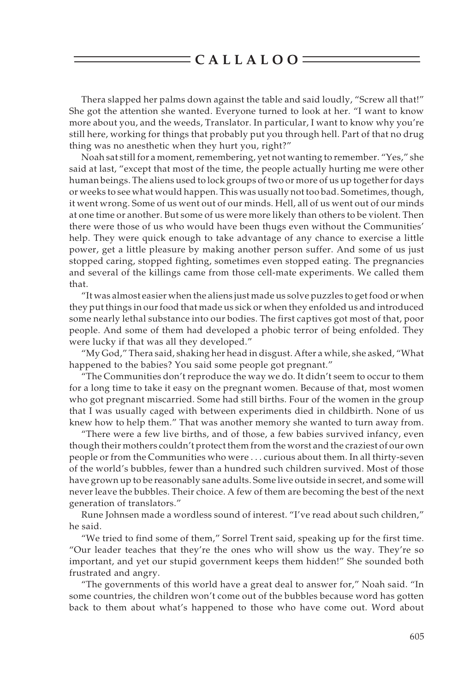Thera slapped her palms down against the table and said loudly, "Screw all that!" She got the attention she wanted. Everyone turned to look at her. "I want to know more about you, and the weeds, Translator. In particular, I want to know why you're still here, working for things that probably put you through hell. Part of that no drug thing was no anesthetic when they hurt you, right?"

Noah sat still for a moment, remembering, yet not wanting to remember. "Yes," she said at last, "except that most of the time, the people actually hurting me were other human beings. The aliens used to lock groups of two or more of us up together for days or weeks to see what would happen. This was usually not too bad. Sometimes, though, it went wrong. Some of us went out of our minds. Hell, all of us went out of our minds at one time or another. But some of us were more likely than others to be violent. Then there were those of us who would have been thugs even without the Communities' help. They were quick enough to take advantage of any chance to exercise a little power, get a little pleasure by making another person suffer. And some of us just stopped caring, stopped fighting, sometimes even stopped eating. The pregnancies and several of the killings came from those cell-mate experiments. We called them that.

"It was almost easier when the aliens just made us solve puzzles to get food or when they put things in our food that made us sick or when they enfolded us and introduced some nearly lethal substance into our bodies. The first captives got most of that, poor people. And some of them had developed a phobic terror of being enfolded. They were lucky if that was all they developed."

"My God," Thera said, shaking her head in disgust. After a while, she asked, "What happened to the babies? You said some people got pregnant."

"The Communities don't reproduce the way we do. It didn't seem to occur to them for a long time to take it easy on the pregnant women. Because of that, most women who got pregnant miscarried. Some had still births. Four of the women in the group that I was usually caged with between experiments died in childbirth. None of us knew how to help them." That was another memory she wanted to turn away from.

"There were a few live births, and of those, a few babies survived infancy, even though their mothers couldn't protect them from the worst and the craziest of our own people or from the Communities who were . . . curious about them. In all thirty-seven of the world's bubbles, fewer than a hundred such children survived. Most of those have grown up to be reasonably sane adults. Some live outside in secret, and some will never leave the bubbles. Their choice. A few of them are becoming the best of the next generation of translators."

Rune Johnsen made a wordless sound of interest. "I've read about such children," he said.

"We tried to find some of them," Sorrel Trent said, speaking up for the first time. "Our leader teaches that they're the ones who will show us the way. They're so important, and yet our stupid government keeps them hidden!" She sounded both frustrated and angry.

"The governments of this world have a great deal to answer for," Noah said. "In some countries, the children won't come out of the bubbles because word has gotten back to them about what's happened to those who have come out. Word about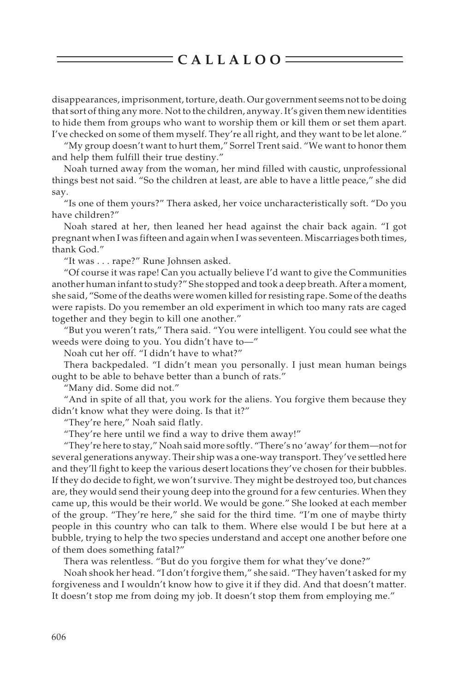disappearances, imprisonment, torture, death. Our government seems not to be doing that sort of thing any more. Not to the children, anyway. It's given them new identities to hide them from groups who want to worship them or kill them or set them apart. I've checked on some of them myself. They're all right, and they want to be let alone."

"My group doesn't want to hurt them," Sorrel Trent said. "We want to honor them and help them fulfill their true destiny."

Noah turned away from the woman, her mind filled with caustic, unprofessional things best not said. "So the children at least, are able to have a little peace," she did say.

"Is one of them yours?" Thera asked, her voice uncharacteristically soft. "Do you have children?"

Noah stared at her, then leaned her head against the chair back again. "I got pregnant when I was fifteen and again when I was seventeen. Miscarriages both times, thank God."

"It was . . . rape?" Rune Johnsen asked.

"Of course it was rape! Can you actually believe I'd want to give the Communities another human infant to study?" She stopped and took a deep breath. After a moment, she said, "Some of the deaths were women killed for resisting rape. Some of the deaths were rapists. Do you remember an old experiment in which too many rats are caged together and they begin to kill one another."

"But you weren't rats," Thera said. "You were intelligent. You could see what the weeds were doing to you. You didn't have to—"

Noah cut her off. "I didn't have to what?"

Thera backpedaled. "I didn't mean you personally. I just mean human beings ought to be able to behave better than a bunch of rats."

"Many did. Some did not."

"And in spite of all that, you work for the aliens. You forgive them because they didn't know what they were doing. Is that it?"

"They're here," Noah said flatly.

"They're here until we find a way to drive them away!"

"They're here to stay," Noah said more softly. "There's no 'away' for them—not for several generations anyway. Their ship was a one-way transport. They've settled here and they'll fight to keep the various desert locations they've chosen for their bubbles. If they do decide to fight, we won't survive. They might be destroyed too, but chances are, they would send their young deep into the ground for a few centuries. When they came up, this would be their world. We would be gone." She looked at each member of the group. "They're here," she said for the third time. "I'm one of maybe thirty people in this country who can talk to them. Where else would I be but here at a bubble, trying to help the two species understand and accept one another before one of them does something fatal?"

Thera was relentless. "But do you forgive them for what they've done?"

Noah shook her head. "I don't forgive them," she said. "They haven't asked for my forgiveness and I wouldn't know how to give it if they did. And that doesn't matter. It doesn't stop me from doing my job. It doesn't stop them from employing me."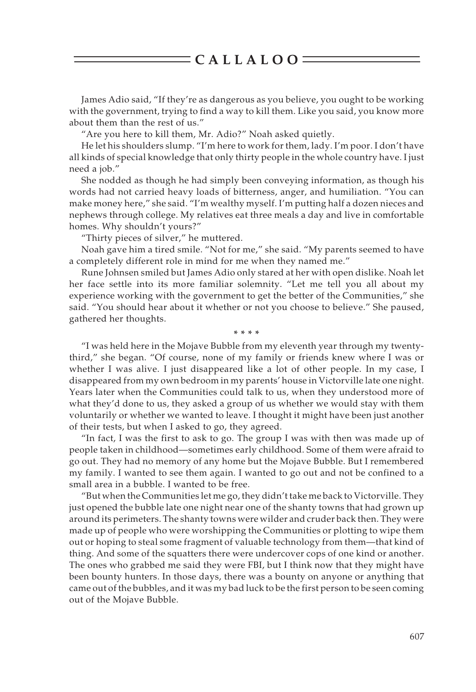James Adio said, "If they're as dangerous as you believe, you ought to be working with the government, trying to find a way to kill them. Like you said, you know more about them than the rest of us."

"Are you here to kill them, Mr. Adio?" Noah asked quietly.

He let his shoulders slump. "I'm here to work for them, lady. I'm poor. I don't have all kinds of special knowledge that only thirty people in the whole country have. I just need a job."

She nodded as though he had simply been conveying information, as though his words had not carried heavy loads of bitterness, anger, and humiliation. "You can make money here," she said. "I'm wealthy myself. I'm putting half a dozen nieces and nephews through college. My relatives eat three meals a day and live in comfortable homes. Why shouldn't yours?"

"Thirty pieces of silver," he muttered.

Noah gave him a tired smile. "Not for me," she said. "My parents seemed to have a completely different role in mind for me when they named me."

Rune Johnsen smiled but James Adio only stared at her with open dislike. Noah let her face settle into its more familiar solemnity. "Let me tell you all about my experience working with the government to get the better of the Communities," she said. "You should hear about it whether or not you choose to believe." She paused, gathered her thoughts.

**\* \* \* \***

"I was held here in the Mojave Bubble from my eleventh year through my twentythird," she began. "Of course, none of my family or friends knew where I was or whether I was alive. I just disappeared like a lot of other people. In my case, I disappeared from my own bedroom in my parents' house in Victorville late one night. Years later when the Communities could talk to us, when they understood more of what they'd done to us, they asked a group of us whether we would stay with them voluntarily or whether we wanted to leave. I thought it might have been just another of their tests, but when I asked to go, they agreed.

"In fact, I was the first to ask to go. The group I was with then was made up of people taken in childhood—sometimes early childhood. Some of them were afraid to go out. They had no memory of any home but the Mojave Bubble. But I remembered my family. I wanted to see them again. I wanted to go out and not be confined to a small area in a bubble. I wanted to be free.

"But when the Communities let me go, they didn't take me back to Victorville. They just opened the bubble late one night near one of the shanty towns that had grown up around its perimeters. The shanty towns were wilder and cruder back then. They were made up of people who were worshipping the Communities or plotting to wipe them out or hoping to steal some fragment of valuable technology from them—that kind of thing. And some of the squatters there were undercover cops of one kind or another. The ones who grabbed me said they were FBI, but I think now that they might have been bounty hunters. In those days, there was a bounty on anyone or anything that came out of the bubbles, and it was my bad luck to be the first person to be seen coming out of the Mojave Bubble.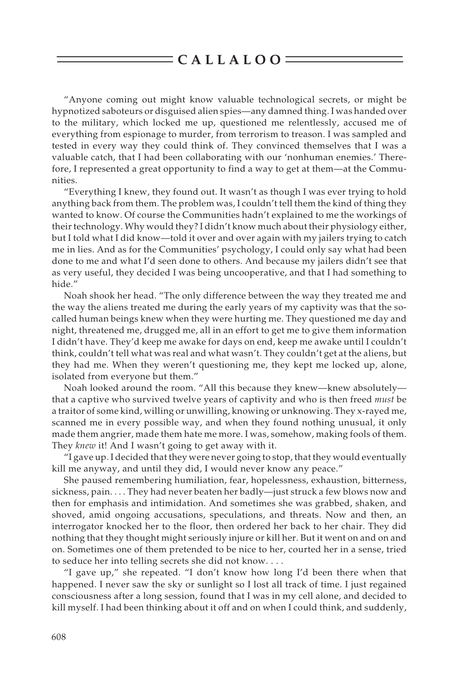# $\equiv$  C A L L A L O O  $\equiv$

"Anyone coming out might know valuable technological secrets, or might be hypnotized saboteurs or disguised alien spies—any damned thing. I was handed over to the military, which locked me up, questioned me relentlessly, accused me of everything from espionage to murder, from terrorism to treason. I was sampled and tested in every way they could think of. They convinced themselves that I was a valuable catch, that I had been collaborating with our 'nonhuman enemies.' Therefore, I represented a great opportunity to find a way to get at them—at the Communities.

"Everything I knew, they found out. It wasn't as though I was ever trying to hold anything back from them. The problem was, I couldn't tell them the kind of thing they wanted to know. Of course the Communities hadn't explained to me the workings of their technology. Why would they? I didn't know much about their physiology either, but I told what I did know—told it over and over again with my jailers trying to catch me in lies. And as for the Communities' psychology, I could only say what had been done to me and what I'd seen done to others. And because my jailers didn't see that as very useful, they decided I was being uncooperative, and that I had something to hide."

Noah shook her head. "The only difference between the way they treated me and the way the aliens treated me during the early years of my captivity was that the socalled human beings knew when they were hurting me. They questioned me day and night, threatened me, drugged me, all in an effort to get me to give them information I didn't have. They'd keep me awake for days on end, keep me awake until I couldn't think, couldn't tell what was real and what wasn't. They couldn't get at the aliens, but they had me. When they weren't questioning me, they kept me locked up, alone, isolated from everyone but them."

Noah looked around the room. "All this because they knew—knew absolutely that a captive who survived twelve years of captivity and who is then freed *must* be a traitor of some kind, willing or unwilling, knowing or unknowing. They x-rayed me, scanned me in every possible way, and when they found nothing unusual, it only made them angrier, made them hate me more. I was, somehow, making fools of them. They *knew* it! And I wasn't going to get away with it.

"I gave up. I decided that they were never going to stop, that they would eventually kill me anyway, and until they did, I would never know any peace."

She paused remembering humiliation, fear, hopelessness, exhaustion, bitterness, sickness, pain. . . . They had never beaten her badly—just struck a few blows now and then for emphasis and intimidation. And sometimes she was grabbed, shaken, and shoved, amid ongoing accusations, speculations, and threats. Now and then, an interrogator knocked her to the floor, then ordered her back to her chair. They did nothing that they thought might seriously injure or kill her. But it went on and on and on. Sometimes one of them pretended to be nice to her, courted her in a sense, tried to seduce her into telling secrets she did not know. . . .

"I gave up," she repeated. "I don't know how long I'd been there when that happened. I never saw the sky or sunlight so I lost all track of time. I just regained consciousness after a long session, found that I was in my cell alone, and decided to kill myself. I had been thinking about it off and on when I could think, and suddenly,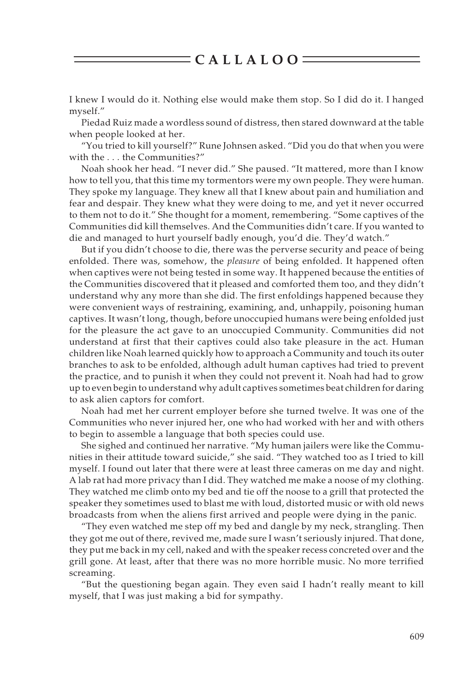I knew I would do it. Nothing else would make them stop. So I did do it. I hanged myself."

Piedad Ruiz made a wordless sound of distress, then stared downward at the table when people looked at her.

"You tried to kill yourself?" Rune Johnsen asked. "Did you do that when you were with the . . . the Communities?"

Noah shook her head. "I never did." She paused. "It mattered, more than I know how to tell you, that this time my tormentors were my own people. They were human. They spoke my language. They knew all that I knew about pain and humiliation and fear and despair. They knew what they were doing to me, and yet it never occurred to them not to do it." She thought for a moment, remembering. "Some captives of the Communities did kill themselves. And the Communities didn't care. If you wanted to die and managed to hurt yourself badly enough, you'd die. They'd watch."

But if you didn't choose to die, there was the perverse security and peace of being enfolded. There was, somehow, the *pleasure* of being enfolded. It happened often when captives were not being tested in some way. It happened because the entities of the Communities discovered that it pleased and comforted them too, and they didn't understand why any more than she did. The first enfoldings happened because they were convenient ways of restraining, examining, and, unhappily, poisoning human captives. It wasn't long, though, before unoccupied humans were being enfolded just for the pleasure the act gave to an unoccupied Community. Communities did not understand at first that their captives could also take pleasure in the act. Human children like Noah learned quickly how to approach a Community and touch its outer branches to ask to be enfolded, although adult human captives had tried to prevent the practice, and to punish it when they could not prevent it. Noah had had to grow up to even begin to understand why adult captives sometimes beat children for daring to ask alien captors for comfort.

Noah had met her current employer before she turned twelve. It was one of the Communities who never injured her, one who had worked with her and with others to begin to assemble a language that both species could use.

She sighed and continued her narrative. "My human jailers were like the Communities in their attitude toward suicide," she said. "They watched too as I tried to kill myself. I found out later that there were at least three cameras on me day and night. A lab rat had more privacy than I did. They watched me make a noose of my clothing. They watched me climb onto my bed and tie off the noose to a grill that protected the speaker they sometimes used to blast me with loud, distorted music or with old news broadcasts from when the aliens first arrived and people were dying in the panic.

"They even watched me step off my bed and dangle by my neck, strangling. Then they got me out of there, revived me, made sure I wasn't seriously injured. That done, they put me back in my cell, naked and with the speaker recess concreted over and the grill gone. At least, after that there was no more horrible music. No more terrified screaming.

"But the questioning began again. They even said I hadn't really meant to kill myself, that I was just making a bid for sympathy.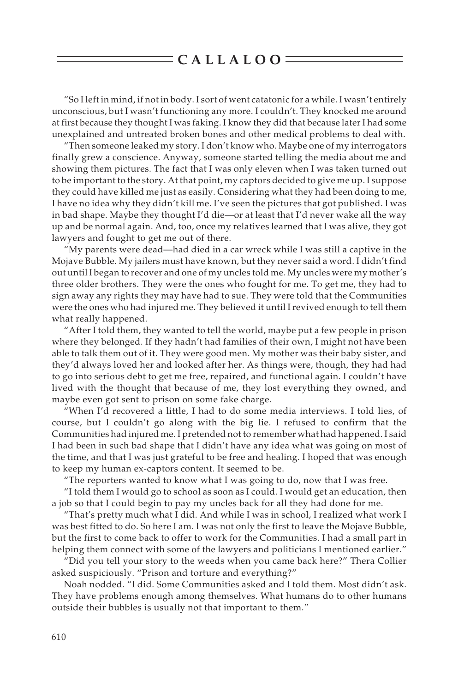"So I left in mind, if not in body. I sort of went catatonic for a while. I wasn't entirely unconscious, but I wasn't functioning any more. I couldn't. They knocked me around at first because they thought I was faking. I know they did that because later I had some unexplained and untreated broken bones and other medical problems to deal with.

"Then someone leaked my story. I don't know who. Maybe one of my interrogators finally grew a conscience. Anyway, someone started telling the media about me and showing them pictures. The fact that I was only eleven when I was taken turned out to be important to the story. At that point, my captors decided to give me up. I suppose they could have killed me just as easily. Considering what they had been doing to me, I have no idea why they didn't kill me. I've seen the pictures that got published. I was in bad shape. Maybe they thought I'd die—or at least that I'd never wake all the way up and be normal again. And, too, once my relatives learned that I was alive, they got lawyers and fought to get me out of there.

"My parents were dead—had died in a car wreck while I was still a captive in the Mojave Bubble. My jailers must have known, but they never said a word. I didn't find out until I began to recover and one of my uncles told me. My uncles were my mother's three older brothers. They were the ones who fought for me. To get me, they had to sign away any rights they may have had to sue. They were told that the Communities were the ones who had injured me. They believed it until I revived enough to tell them what really happened.

"After I told them, they wanted to tell the world, maybe put a few people in prison where they belonged. If they hadn't had families of their own, I might not have been able to talk them out of it. They were good men. My mother was their baby sister, and they'd always loved her and looked after her. As things were, though, they had had to go into serious debt to get me free, repaired, and functional again. I couldn't have lived with the thought that because of me, they lost everything they owned, and maybe even got sent to prison on some fake charge.

"When I'd recovered a little, I had to do some media interviews. I told lies, of course, but I couldn't go along with the big lie. I refused to confirm that the Communities had injured me. I pretended not to remember what had happened. I said I had been in such bad shape that I didn't have any idea what was going on most of the time, and that I was just grateful to be free and healing. I hoped that was enough to keep my human ex-captors content. It seemed to be.

"The reporters wanted to know what I was going to do, now that I was free.

"I told them I would go to school as soon as I could. I would get an education, then a job so that I could begin to pay my uncles back for all they had done for me.

"That's pretty much what I did. And while I was in school, I realized what work I was best fitted to do. So here I am. I was not only the first to leave the Mojave Bubble, but the first to come back to offer to work for the Communities. I had a small part in helping them connect with some of the lawyers and politicians I mentioned earlier."

"Did you tell your story to the weeds when you came back here?" Thera Collier asked suspiciously. "Prison and torture and everything?"

Noah nodded. "I did. Some Communities asked and I told them. Most didn't ask. They have problems enough among themselves. What humans do to other humans outside their bubbles is usually not that important to them."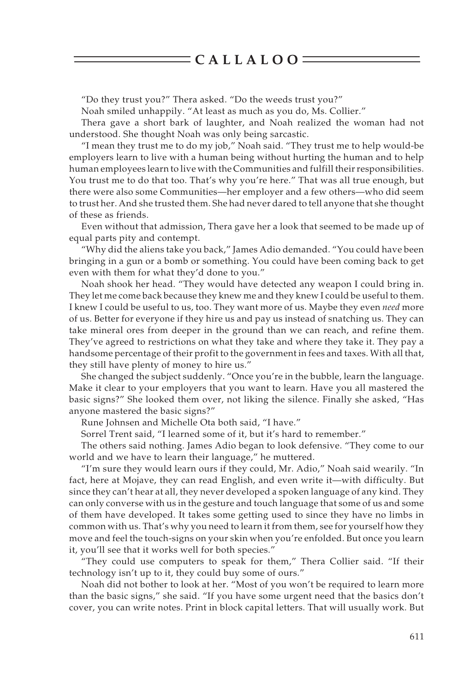"Do they trust you?" Thera asked. "Do the weeds trust you?"

Noah smiled unhappily. "At least as much as you do, Ms. Collier."

Thera gave a short bark of laughter, and Noah realized the woman had not understood. She thought Noah was only being sarcastic.

"I mean they trust me to do my job," Noah said. "They trust me to help would-be employers learn to live with a human being without hurting the human and to help human employees learn to live with the Communities and fulfill their responsibilities. You trust me to do that too. That's why you're here." That was all true enough, but there were also some Communities—her employer and a few others—who did seem to trust her. And she trusted them. She had never dared to tell anyone that she thought of these as friends.

Even without that admission, Thera gave her a look that seemed to be made up of equal parts pity and contempt.

"Why did the aliens take you back," James Adio demanded. "You could have been bringing in a gun or a bomb or something. You could have been coming back to get even with them for what they'd done to you."

Noah shook her head. "They would have detected any weapon I could bring in. They let me come back because they knew me and they knew I could be useful to them. I knew I could be useful to us, too. They want more of us. Maybe they even *need* more of us. Better for everyone if they hire us and pay us instead of snatching us. They can take mineral ores from deeper in the ground than we can reach, and refine them. They've agreed to restrictions on what they take and where they take it. They pay a handsome percentage of their profit to the government in fees and taxes. With all that, they still have plenty of money to hire us."

She changed the subject suddenly. "Once you're in the bubble, learn the language. Make it clear to your employers that you want to learn. Have you all mastered the basic signs?" She looked them over, not liking the silence. Finally she asked, "Has anyone mastered the basic signs?"

Rune Johnsen and Michelle Ota both said, "I have."

Sorrel Trent said, "I learned some of it, but it's hard to remember."

The others said nothing. James Adio began to look defensive. "They come to our world and we have to learn their language," he muttered.

"I'm sure they would learn ours if they could, Mr. Adio," Noah said wearily. "In fact, here at Mojave, they can read English, and even write it—with difficulty. But since they can't hear at all, they never developed a spoken language of any kind. They can only converse with us in the gesture and touch language that some of us and some of them have developed. It takes some getting used to since they have no limbs in common with us. That's why you need to learn it from them, see for yourself how they move and feel the touch-signs on your skin when you're enfolded. But once you learn it, you'll see that it works well for both species."

"They could use computers to speak for them," Thera Collier said. "If their technology isn't up to it, they could buy some of ours."

Noah did not bother to look at her. "Most of you won't be required to learn more than the basic signs," she said. "If you have some urgent need that the basics don't cover, you can write notes. Print in block capital letters. That will usually work. But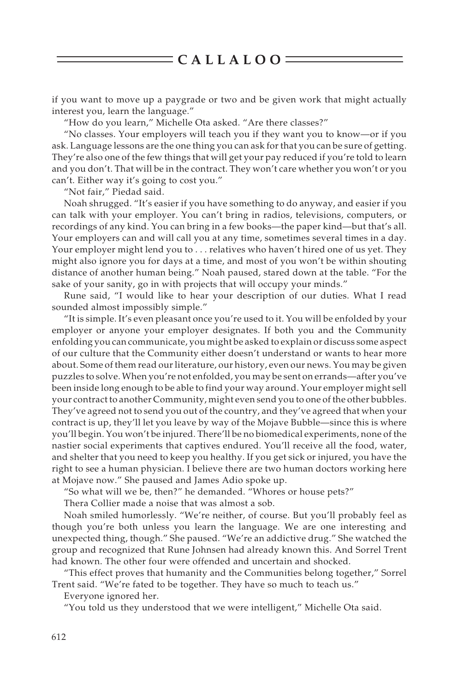if you want to move up a paygrade or two and be given work that might actually interest you, learn the language."

"How do you learn," Michelle Ota asked. "Are there classes?"

"No classes. Your employers will teach you if they want you to know—or if you ask. Language lessons are the one thing you can ask for that you can be sure of getting. They're also one of the few things that will get your pay reduced if you're told to learn and you don't. That will be in the contract. They won't care whether you won't or you can't. Either way it's going to cost you."

"Not fair," Piedad said.

Noah shrugged. "It's easier if you have something to do anyway, and easier if you can talk with your employer. You can't bring in radios, televisions, computers, or recordings of any kind. You can bring in a few books—the paper kind—but that's all. Your employers can and will call you at any time, sometimes several times in a day. Your employer might lend you to . . . relatives who haven't hired one of us yet. They might also ignore you for days at a time, and most of you won't be within shouting distance of another human being." Noah paused, stared down at the table. "For the sake of your sanity, go in with projects that will occupy your minds."

Rune said, "I would like to hear your description of our duties. What I read sounded almost impossibly simple."

"It is simple. It's even pleasant once you're used to it. You will be enfolded by your employer or anyone your employer designates. If both you and the Community enfolding you can communicate, you might be asked to explain or discuss some aspect of our culture that the Community either doesn't understand or wants to hear more about. Some of them read our literature, our history, even our news. You may be given puzzles to solve. When you're not enfolded, you may be sent on errands—after you've been inside long enough to be able to find your way around. Your employer might sell your contract to another Community, might even send you to one of the other bubbles. They've agreed not to send you out of the country, and they've agreed that when your contract is up, they'll let you leave by way of the Mojave Bubble—since this is where you'll begin. You won't be injured. There'll be no biomedical experiments, none of the nastier social experiments that captives endured. You'll receive all the food, water, and shelter that you need to keep you healthy. If you get sick or injured, you have the right to see a human physician. I believe there are two human doctors working here at Mojave now." She paused and James Adio spoke up.

"So what will we be, then?" he demanded. "Whores or house pets?"

Thera Collier made a noise that was almost a sob.

Noah smiled humorlessly. "We're neither, of course. But you'll probably feel as though you're both unless you learn the language. We are one interesting and unexpected thing, though." She paused. "We're an addictive drug." She watched the group and recognized that Rune Johnsen had already known this. And Sorrel Trent had known. The other four were offended and uncertain and shocked.

"This effect proves that humanity and the Communities belong together," Sorrel Trent said. "We're fated to be together. They have so much to teach us."

Everyone ignored her.

"You told us they understood that we were intelligent," Michelle Ota said.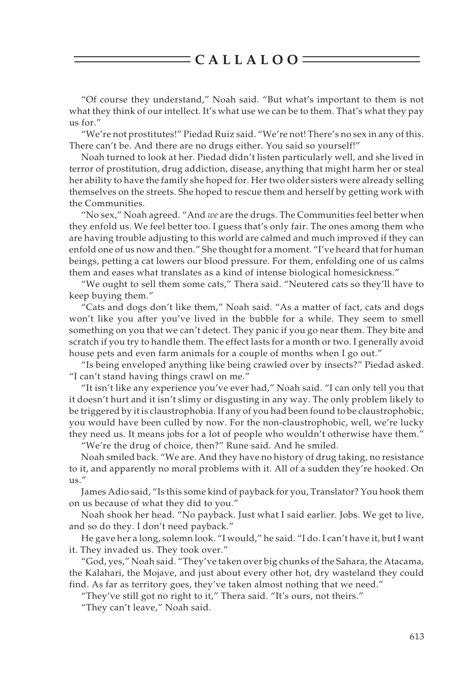"Of course they understand," Noah said. "But what's important to them is not what they think of our intellect. It's what use we can be to them. That's what they pay us for."

"We're not prostitutes!" Piedad Ruiz said. "We're not! There's no sex in any of this. There can't be. And there are no drugs either. You said so yourself!"

Noah turned to look at her. Piedad didn't listen particularly well, and she lived in terror of prostitution, drug addiction, disease, anything that might harm her or steal her ability to have the family she hoped for. Her two older sisters were already selling themselves on the streets. She hoped to rescue them and herself by getting work with the Communities.

"No sex," Noah agreed. "And *we* are the drugs. The Communities feel better when they enfold us. We feel better too. I guess that's only fair. The ones among them who are having trouble adjusting to this world are calmed and much improved if they can enfold one of us now and then." She thought for a moment. "I've heard that for human beings, petting a cat lowers our blood pressure. For them, enfolding one of us calms them and eases what translates as a kind of intense biological homesickness."

"We ought to sell them some cats," Thera said. "Neutered cats so they'll have to keep buying them."

"Cats and dogs don't like them," Noah said. "As a matter of fact, cats and dogs won't like you after you've lived in the bubble for a while. They seem to smell something on you that we can't detect. They panic if you go near them. They bite and scratch if you try to handle them. The effect lasts for a month or two. I generally avoid house pets and even farm animals for a couple of months when I go out."

"Is being enveloped anything like being crawled over by insects?" Piedad asked. "I can't stand having things crawl on me."

"It isn't like any experience you've ever had," Noah said. "I can only tell you that it doesn't hurt and it isn't slimy or disgusting in any way. The only problem likely to be triggered by it is claustrophobia. If any of you had been found to be claustrophobic, you would have been culled by now. For the non-claustrophobic, well, we're lucky they need us. It means jobs for a lot of people who wouldn't otherwise have them."

"We're the drug of choice, then?" Rune said. And he smiled.

Noah smiled back. "We are. And they have no history of drug taking, no resistance to it, and apparently no moral problems with it. All of a sudden they're hooked. On us."

James Adio said, "Is this some kind of payback for you, Translator? You hook them on us because of what they did to you."

Noah shook her head. "No payback. Just what I said earlier. Jobs. We get to live, and so do they. I don't need payback."

He gave her a long, solemn look. "I would," he said. "I do. I can't have it, but I want it. They invaded us. They took over."

"God, yes," Noah said. "They've taken over big chunks of the Sahara, the Atacama, the Kalahari, the Mojave, and just about every other hot, dry wasteland they could find. As far as territory goes, they've taken almost nothing that we need."

"They've still got no right to it," Thera said. "It's ours, not theirs."

"They can't leave," Noah said.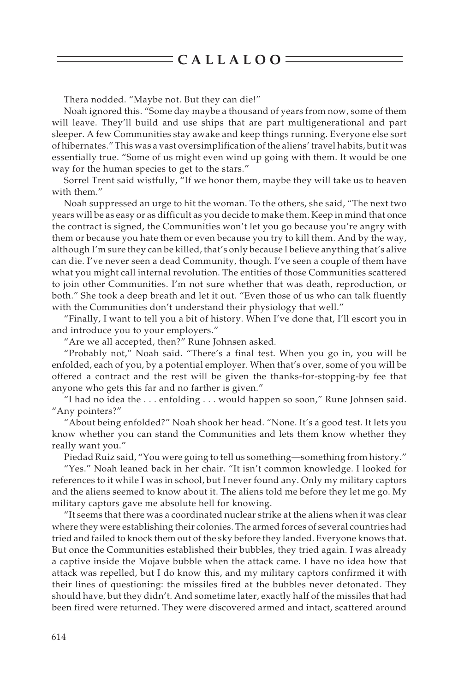Thera nodded. "Maybe not. But they can die!"

Noah ignored this. "Some day maybe a thousand of years from now, some of them will leave. They'll build and use ships that are part multigenerational and part sleeper. A few Communities stay awake and keep things running. Everyone else sort of hibernates." This was a vast oversimplification of the aliens' travel habits, but it was essentially true. "Some of us might even wind up going with them. It would be one way for the human species to get to the stars."

Sorrel Trent said wistfully, "If we honor them, maybe they will take us to heaven with them."

Noah suppressed an urge to hit the woman. To the others, she said, "The next two years will be as easy or as difficult as you decide to make them. Keep in mind that once the contract is signed, the Communities won't let you go because you're angry with them or because you hate them or even because you try to kill them. And by the way, although I'm sure they can be killed, that's only because I believe anything that's alive can die. I've never seen a dead Community, though. I've seen a couple of them have what you might call internal revolution. The entities of those Communities scattered to join other Communities. I'm not sure whether that was death, reproduction, or both." She took a deep breath and let it out. "Even those of us who can talk fluently with the Communities don't understand their physiology that well."

"Finally, I want to tell you a bit of history. When I've done that, I'll escort you in and introduce you to your employers."

"Are we all accepted, then?" Rune Johnsen asked.

"Probably not," Noah said. "There's a final test. When you go in, you will be enfolded, each of you, by a potential employer. When that's over, some of you will be offered a contract and the rest will be given the thanks-for-stopping-by fee that anyone who gets this far and no farther is given."

"I had no idea the . . . enfolding . . . would happen so soon," Rune Johnsen said. "Any pointers?"

"About being enfolded?" Noah shook her head. "None. It's a good test. It lets you know whether you can stand the Communities and lets them know whether they really want you."

Piedad Ruiz said, "You were going to tell us something—something from history."

"Yes." Noah leaned back in her chair. "It isn't common knowledge. I looked for references to it while I was in school, but I never found any. Only my military captors and the aliens seemed to know about it. The aliens told me before they let me go. My military captors gave me absolute hell for knowing.

"It seems that there was a coordinated nuclear strike at the aliens when it was clear where they were establishing their colonies. The armed forces of several countries had tried and failed to knock them out of the sky before they landed. Everyone knows that. But once the Communities established their bubbles, they tried again. I was already a captive inside the Mojave bubble when the attack came. I have no idea how that attack was repelled, but I do know this, and my military captors confirmed it with their lines of questioning: the missiles fired at the bubbles never detonated. They should have, but they didn't. And sometime later, exactly half of the missiles that had been fired were returned. They were discovered armed and intact, scattered around